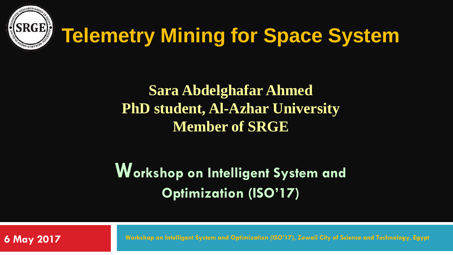

# **Telemetry Mining for Space System**

### **Sara Abdelghafar Ahmed PhD student, Al-Azhar University Member of SRGE**

### **Workshop on Intelligent System and Optimization (ISO'17)**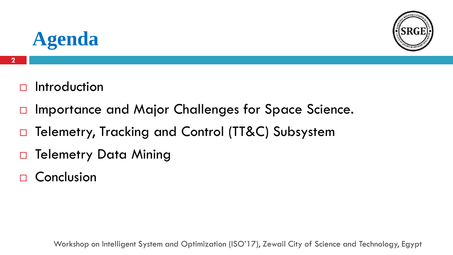

### **Agenda**

- $\Box$  Introduction
- □ Importance and Major Challenges for Space Science.
- □ Telemetry, Tracking and Control (TT&C) Subsystem
- □ Telemetry Data Mining
- □ Conclusion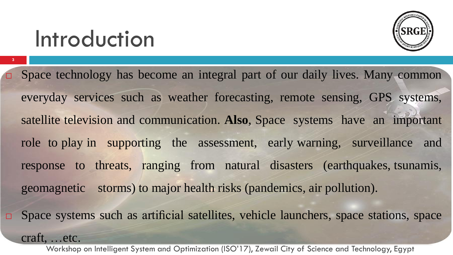# Introduction

craft, …etc.

**3**



- Space technology has become an integral part of our daily lives. Many common everyday services such as weather forecasting, remote sensing, GPS systems, satellite television and communication. **Also**, Space systems have an important role to play in supporting the assessment, early warning, surveillance and response to threats, ranging from natural disasters (earthquakes, tsunamis, geomagnetic storms) to major health risks (pandemics, air pollution).
- $\square$  Space systems such as artificial satellites, vehicle launchers, space stations, space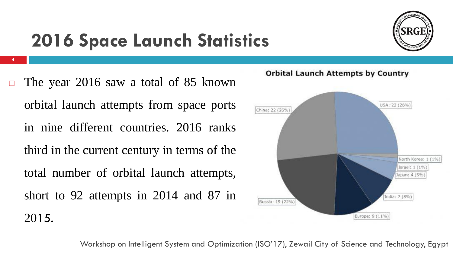

## **2016 Space Launch Statistics**

 $\Box$  The year 2016 saw a total of 85 known orbital launch attempts from space ports in nine different countries. 2016 ranks third in the current century in terms of the total number of orbital launch attempts, short to 92 attempts in 2014 and 87 in 2015.

**4**

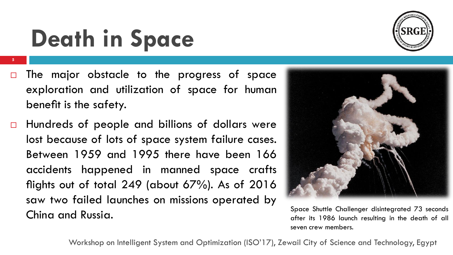#### Space Shuttle Challenger disintegrated 73 seconds after its 1986 launch resulting in the death of all seven crew members.

# **Death in Space**

**5**

- $\Box$  The major obstacle to the progress of space exploration and utilization of space for human benefit is the safety.
- $\Box$  Hundreds of people and billions of dollars were lost because of lots of space system failure cases. Between 1959 and 1995 there have been 166 accidents happened in manned space crafts flights out of total 249 (about 67%). As of 2016 saw two failed launches on missions operated by China and Russia.

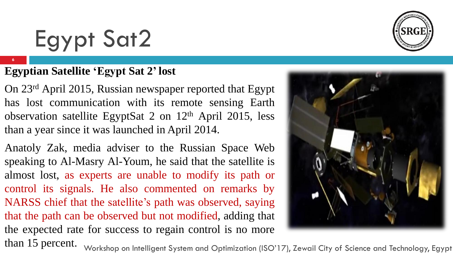# Egypt Sat2

#### **Egyptian Satellite 'Egypt Sat 2' lost**

On 23rd April 2015, Russian newspaper reported that Egypt has lost communication with its remote sensing Earth observation satellite EgyptSat 2 on 12th April 2015, less than a year since it was launched in April 2014.

Anatoly Zak, media adviser to the Russian Space Web speaking to Al-Masry Al-Youm, he said that the satellite is almost lost, as experts are unable to modify its path or control its signals. He also commented on remarks by NARSS chief that the satellite's path was observed, saying that the path can be observed but not modified, adding that the expected rate for success to regain control is no more than 15 percent.



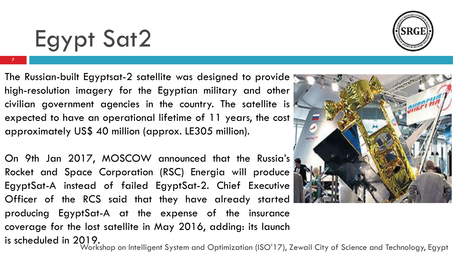# Egypt Sat2

**7**

The Russian-built Egyptsat-2 satellite was designed to provide high-resolution imagery for the Egyptian military and other civilian government agencies in the country. The satellite is expected to have an operational lifetime of 11 years, the cost approximately US\$ 40 million (approx. LE305 million).

On 9th Jan 2017, MOSCOW announced that the Russia's Rocket and Space Corporation (RSC) Energia will produce EgyptSat-A instead of failed EgyptSat-2. Chief Executive Officer of the RCS said that they have already started producing EgyptSat-A at the expense of the insurance coverage for the lost satellite in May 2016, adding: its launch is scheduled in 2019.



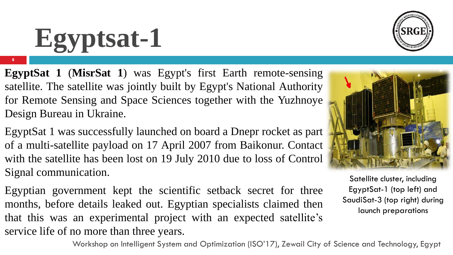# **Egyptsat-1**

**8**

**EgyptSat 1** (**MisrSat 1**) was Egypt's first Earth remote-sensing satellite. The satellite was jointly built by Egypt's National Authority for Remote Sensing and Space Sciences together with the Yuzhnoye Design Bureau in Ukraine.

EgyptSat 1 was successfully launched on board a Dnepr rocket as part of a multi-satellite payload on 17 April 2007 from Baikonur. Contact with the satellite has been lost on 19 July 2010 due to loss of Control Signal communication.

Egyptian government kept the scientific setback secret for three months, before details leaked out. Egyptian specialists claimed then that this was an experimental project with an expected satellite's service life of no more than three years.

Satellite cluster, including EgyptSat-1 (top left) and SaudiSat-3 (top right) during launch preparations





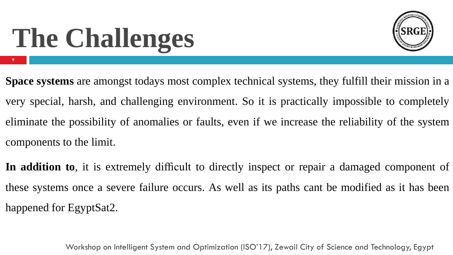# **The Challenges**

**9**



**Space systems** are amongst todays most complex technical systems, they fulfill their mission in a very special, harsh, and challenging environment. So it is practically impossible to completely eliminate the possibility of anomalies or faults, even if we increase the reliability of the system components to the limit.

**In addition to**, it is extremely difficult to directly inspect or repair a damaged component of these systems once a severe failure occurs. As well as its paths cant be modified as it has been happened for EgyptSat2.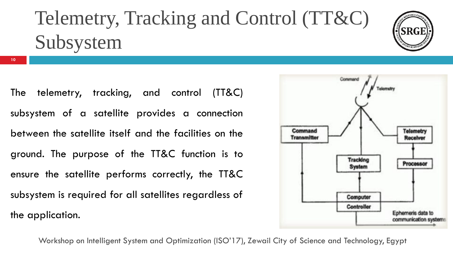## Telemetry, Tracking and Control (TT&C) Subsystem



The telemetry, tracking, and control (TT&C) subsystem of a satellite provides a connection between the satellite itself and the facilities on the ground. The purpose of the TT&C function is to ensure the satellite performs correctly, the TT&C subsystem is required for all satellites regardless of

the application.

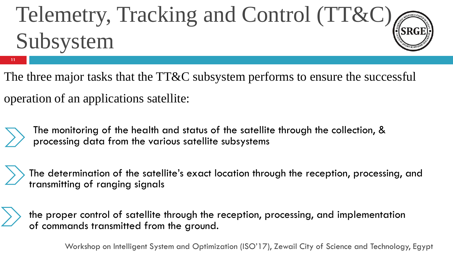# Telemetry, Tracking and Control (TT&C) Subsystem

The three major tasks that the TT&C subsystem performs to ensure the successful operation of an applications satellite:



**11**

The monitoring of the health and status of the satellite through the collection, & processing data from the various satellite subsystems

The determination of the satellite's exact location through the reception, processing, and transmitting of ranging signals

the proper control of satellite through the reception, processing, and implementation of commands transmitted from the ground.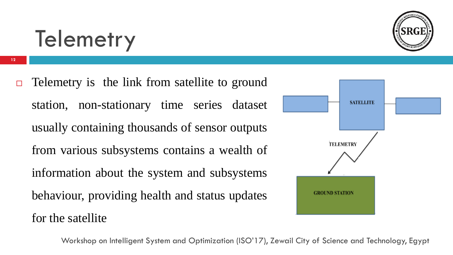# **Telemetry**

 $\Box$  Telemetry is the link from satellite to ground station, non-stationary time series dataset usually containing thousands of sensor outputs from various subsystems contains a wealth of information about the system and subsystems behaviour, providing health and status updates for the satellite

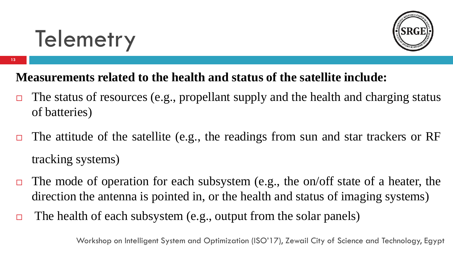

**13**



### **Measurements related to the health and status of the satellite include:**

- $\Box$  The status of resources (e.g., propellant supply and the health and charging status of batteries)
- $\Box$  The attitude of the satellite (e.g., the readings from sun and star trackers or RF tracking systems)
- $\Box$  The mode of operation for each subsystem (e.g., the on/off state of a heater, the direction the antenna is pointed in, or the health and status of imaging systems)
- $\Box$  The health of each subsystem (e.g., output from the solar panels)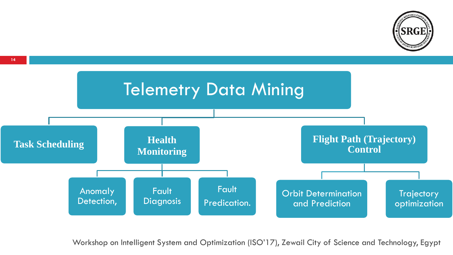

**14**

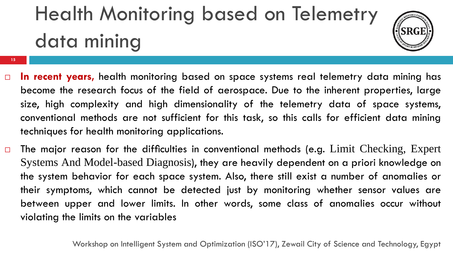# Health Monitoring based on Telemetry data mining

**15**



- **In recent years,** health monitoring based on space systems real telemetry data mining has become the research focus of the field of aerospace. Due to the inherent properties, large size, high complexity and high dimensionality of the telemetry data of space systems, conventional methods are not sufficient for this task, so this calls for efficient data mining techniques for health monitoring applications.
- $\Box$  The major reason for the difficulties in conventional methods (e.g. Limit Checking, Expert Systems And Model-based Diagnosis), they are heavily dependent on a priori knowledge on the system behavior for each space system. Also, there still exist a number of anomalies or their symptoms, which cannot be detected just by monitoring whether sensor values are between upper and lower limits. In other words, some class of anomalies occur without violating the limits on the variables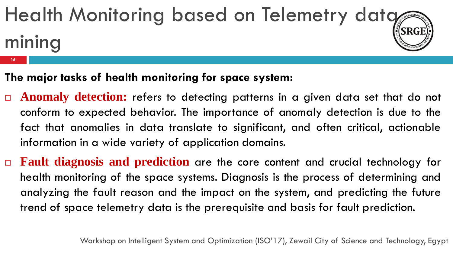# Health Monitoring based on Telemetry data mining

**The major tasks of health monitoring for space system:**

**16**

- **Anomaly detection:** refers to detecting patterns in a given data set that do not conform to expected behavior. The importance of anomaly detection is due to the fact that anomalies in data translate to significant, and often critical, actionable information in a wide variety of application domains.
- **Fault diagnosis and prediction** are the core content and crucial technology for health monitoring of the space systems. Diagnosis is the process of determining and analyzing the fault reason and the impact on the system, and predicting the future trend of space telemetry data is the prerequisite and basis for fault prediction.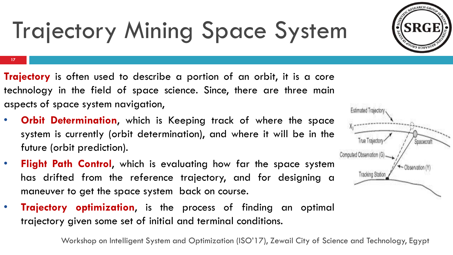

# Trajectory Mining Space System

**17**

- **Trajectory** is often used to describe a portion of an orbit, it is a core technology in the field of space science. Since, there are three main aspects of space system navigation,
- **Orbit Determination**, which is Keeping track of where the space system is currently (orbit determination), and where it will be in the future (orbit prediction).
- **Flight Path Control**, which is evaluating how far the space system has drifted from the reference trajectory, and for designing a maneuver to get the space system back on course.
- **Trajectory optimization**, is the process of finding an optimal trajectory given some set of initial and terminal conditions.

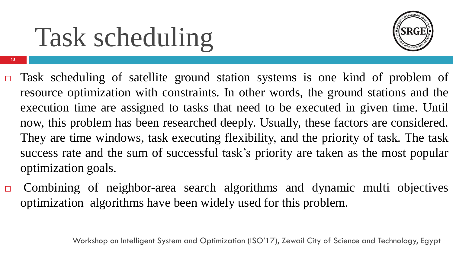# Task scheduling

**18**



- Task scheduling of satellite ground station systems is one kind of problem of resource optimization with constraints. In other words, the ground stations and the execution time are assigned to tasks that need to be executed in given time. Until now, this problem has been researched deeply. Usually, these factors are considered. They are time windows, task executing flexibility, and the priority of task. The task success rate and the sum of successful task's priority are taken as the most popular optimization goals.
- Combining of neighbor-area search algorithms and dynamic multi objectives optimization algorithms have been widely used for this problem.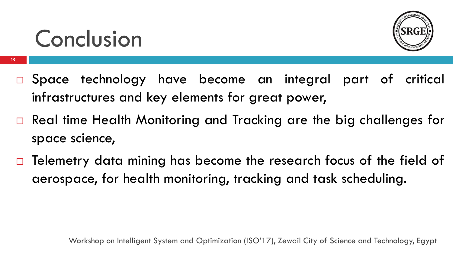# Conclusion

**19**



- Space technology have become an integral part of critical infrastructures and key elements for great power,
- □ Real time Health Monitoring and Tracking are the big challenges for space science,
- Telemetry data mining has become the research focus of the field of aerospace, for health monitoring, tracking and task scheduling.